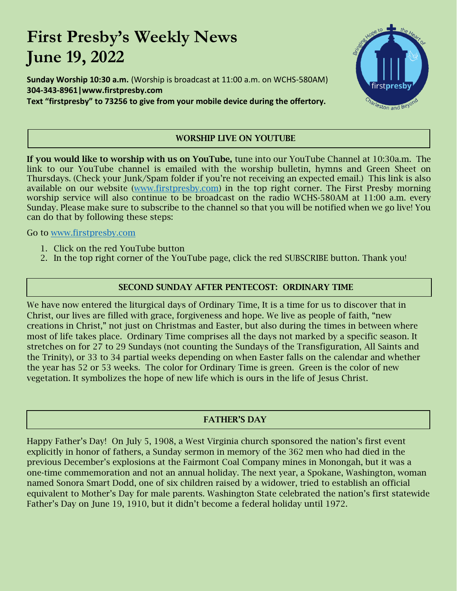# **First Presby's Weekly News June 19, 2022**

**Sunday Worship 10:30 a.m.** (Worship is broadcast at 11:00 a.m. on WCHS-580AM) **304-343-8961|www.firstpresby.com Text "firstpresby" to 73256 to give from your mobile device during the offertory.**



## WORSHIP LIVE ON YOUTUBE

If you would like to worship with us on YouTube, tune into our YouTube Channel at 10:30a.m. The link to our YouTube channel is emailed with the worship bulletin, hymns and Green Sheet on Thursdays. (Check your Junk/Spam folder if you're not receiving an expected email.) This link is also available on our website [\(www.firstpresby.com\)](http://www.firstpresby.com/) in the top right corner. The First Presby morning worship service will also continue to be broadcast on the radio WCHS-580AM at 11:00 a.m. every Sunday. Please make sure to subscribe to the channel so that you will be notified when we go live! You can do that by following these steps:

Go to [www.firstpresby.com](http://www.firstpresby.com/)

l

- 1. Click on the red YouTube button
- 2. In the top right corner of the YouTube page, click the red SUBSCRIBE button. Thank you!

#### SECOND SUNDAY AFTER PENTECOST: ORDINARY TIME

We have now entered the liturgical days of Ordinary Time, It is a time for us to discover that in Christ, our lives are filled with grace, forgiveness and hope. We live as people of faith, "new creations in Christ," not just on Christmas and Easter, but also during the times in between where most of life takes place. Ordinary Time comprises all the days not marked by a specific season. It stretches on for 27 to 29 Sundays (not counting the Sundays of the Transfiguration, All Saints and the Trinity), or 33 to 34 partial weeks depending on when Easter falls on the calendar and whether the year has 52 or 53 weeks. The color for Ordinary Time is green. Green is the color of new vegetation. It symbolizes the hope of new life which is ours in the life of Jesus Christ.

#### FATHER'S DAY

Happy Father's Day! On July 5, 1908, a West Virginia church sponsored the nation's first event explicitly in honor of fathers, a Sunday sermon in memory of the 362 men who had died in the previous December's explosions at the Fairmont Coal Company mines in Monongah, but it was a one-time commemoration and not an annual holiday. The next year, a Spokane, Washington, woman named Sonora Smart Dodd, one of six children raised by a widower, tried to establish an official equivalent to Mother's Day for male parents. Washington State celebrated the nation's first statewide Father's Day on June 19, 1910, but it didn't become a federal holiday until 1972.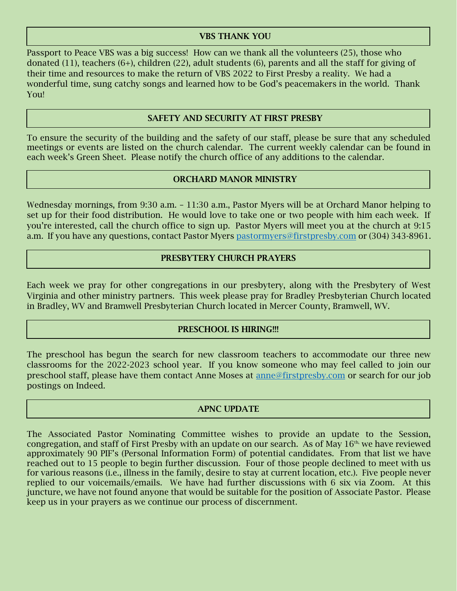#### VBS THANK YOU

Passport to Peace VBS was a big success! How can we thank all the volunteers (25), those who donated (11), teachers (6+), children (22), adult students (6), parents and all the staff for giving of their time and resources to make the return of VBS 2022 to First Presby a reality. We had a wonderful time, sung catchy songs and learned how to be God's peacemakers in the world. Thank You!

## SAFETY AND SECURITY AT FIRST PRESBY

To ensure the security of the building and the safety of our staff, please be sure that any scheduled meetings or events are listed on the church calendar. The current weekly calendar can be found in each week's Green Sheet. Please notify the church office of any additions to the calendar.

#### ORCHARD MANOR MINISTRY

Wednesday mornings, from 9:30 a.m. – 11:30 a.m., Pastor Myers will be at Orchard Manor helping to set up for their food distribution. He would love to take one or two people with him each week. If you're interested, call the church office to sign up. Pastor Myers will meet you at the church at 9:15 a.m. If you have any questions, contact Pastor Myers [pastormyers@firstpresby.com](mailto:pastormyers@firstpresby.com) or (304) 343-8961.

#### PRESBYTERY CHURCH PRAYERS

Each week we pray for other congregations in our presbytery, along with the Presbytery of West Virginia and other ministry partners. This week please pray for Bradley Presbyterian Church located in Bradley, WV and Bramwell Presbyterian Church located in Mercer County, Bramwell, WV.

#### PRESCHOOL IS HIRING!!!

The preschool has begun the search for new classroom teachers to accommodate our three new classrooms for the 2022-2023 school year. If you know someone who may feel called to join our preschool staff, please have them contact Anne Moses at [anne@firstpresby.com](mailto:anne@firstpresby.com) or search for our job postings on Indeed.

#### APNC UPDATE

The Associated Pastor Nominating Committee wishes to provide an update to the Session, congregation, and staff of First Presby with an update on our search. As of May  $16<sup>th</sup>$ , we have reviewed approximately 90 PIF's (Personal Information Form) of potential candidates. From that list we have reached out to 15 people to begin further discussion. Four of those people declined to meet with us for various reasons (i.e., illness in the family, desire to stay at current location, etc.). Five people never replied to our voicemails/emails. We have had further discussions with 6 six via Zoom. At this juncture, we have not found anyone that would be suitable for the position of Associate Pastor. Please keep us in your prayers as we continue our process of discernment.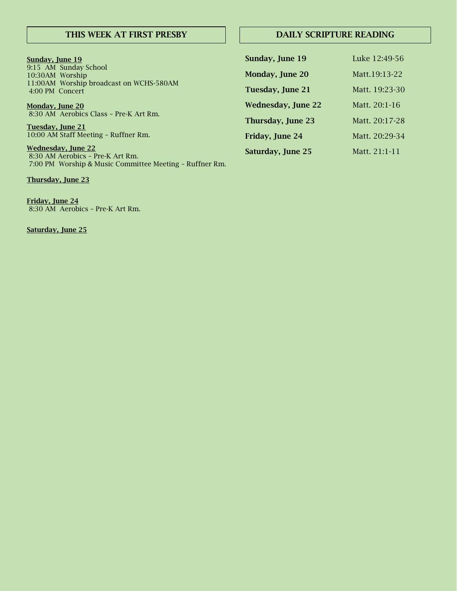#### THIS WEEK AT FIRST PRESBY

#### DAILY SCRIPTURE READING

| Sunday, June 19                                                                                        | Sunday, June 19           | Luke 12:49-56  |
|--------------------------------------------------------------------------------------------------------|---------------------------|----------------|
| 9:15 AM Sunday School<br>10:30AM Worship<br>11:00AM Worship broadcast on WCHS-580AM<br>4:00 PM Concert | Monday, June 20           | Matt.19:13-22  |
|                                                                                                        | Tuesday, June 21          | Matt. 19:23-30 |
| <u>Monday, June 20</u>                                                                                 | <b>Wednesday, June 22</b> | Matt. 20:1-16  |
| 8:30 AM Aerobics Class - Pre-K Art Rm.<br>Tuesday, June 21                                             | Thursday, June 23         | Matt. 20:17-28 |
| 10:00 AM Staff Meeting - Ruffner Rm.                                                                   | Friday, June 24           | Matt. 20:29-34 |
| <b>Wednesday, June 22</b><br>8:30 AM Aerobics - Pre-K Art Rm.                                          | Saturday, June 25         | Matt. 21:1-11  |

7:00 PM Worship & Music Committee Meeting – Ruffner Rm. Thursday, June 23

Friday, June 24 8:30 AM Aerobics – Pre-K Art Rm.

Saturday, June 25